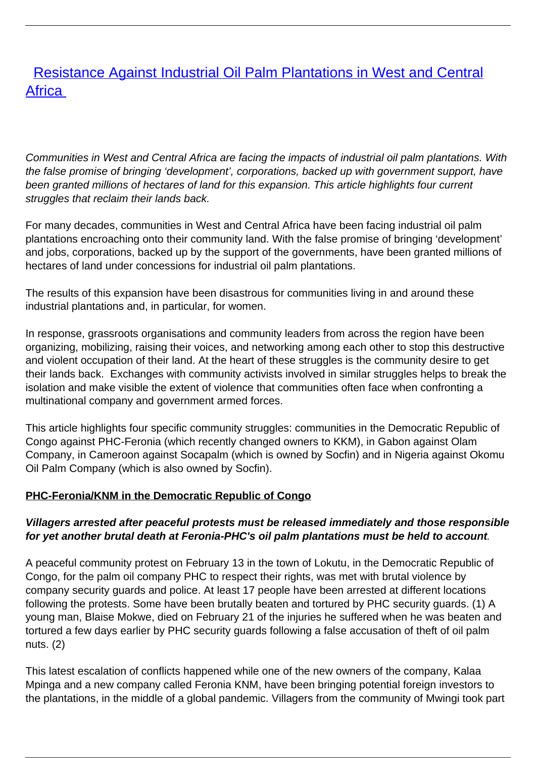# [Resistance Against Industrial Oil Palm Plantations in West and Central](/bulletin-articles/resistance-against-industrial-oil-palm-plantations-in-west-and-central-africa) **[Africa](/bulletin-articles/resistance-against-industrial-oil-palm-plantations-in-west-and-central-africa)**

Communities in West and Central Africa are facing the impacts of industrial oil palm plantations. With the false promise of bringing 'development', corporations, backed up with government support, have been granted millions of hectares of land for this expansion. This article highlights four current struggles that reclaim their lands back.

For many decades, communities in West and Central Africa have been facing industrial oil palm plantations encroaching onto their community land. With the false promise of bringing 'development' and jobs, corporations, backed up by the support of the governments, have been granted millions of hectares of land under concessions for industrial oil palm plantations.

The results of this expansion have been disastrous for communities living in and around these industrial plantations and, in particular, for women.

In response, grassroots organisations and community leaders from across the region have been organizing, mobilizing, raising their voices, and networking among each other to stop this destructive and violent occupation of their land. At the heart of these struggles is the community desire to get their lands back. Exchanges with community activists involved in similar struggles helps to break the isolation and make visible the extent of violence that communities often face when confronting a multinational company and government armed forces.

This article highlights four specific community struggles: communities in the Democratic Republic of Congo against PHC-Feronia (which recently changed owners to KKM), in Gabon against Olam Company, in Cameroon against Socapalm (which is owned by Socfin) and in Nigeria against Okomu Oil Palm Company (which is also owned by Socfin).

### **PHC-Feronia/KNM in the Democratic Republic of Congo**

#### **Villagers arrested after peaceful protests must be released immediately and those responsible for yet another brutal death at Feronia-PHC's oil palm plantations must be held to account**.

A peaceful community protest on February 13 in the town of Lokutu, in the Democratic Republic of Congo, for the palm oil company PHC to respect their rights, was met with brutal violence by company security guards and police. At least 17 people have been arrested at different locations following the protests. Some have been brutally beaten and tortured by PHC security guards. (1) A young man, Blaise Mokwe, died on February 21 of the injuries he suffered when he was beaten and tortured a few days earlier by PHC security guards following a false accusation of theft of oil palm nuts. (2)

This latest escalation of conflicts happened while one of the new owners of the company, Kalaa Mpinga and a new company called Feronia KNM, have been bringing potential foreign investors to the plantations, in the middle of a global pandemic. Villagers from the community of Mwingi took part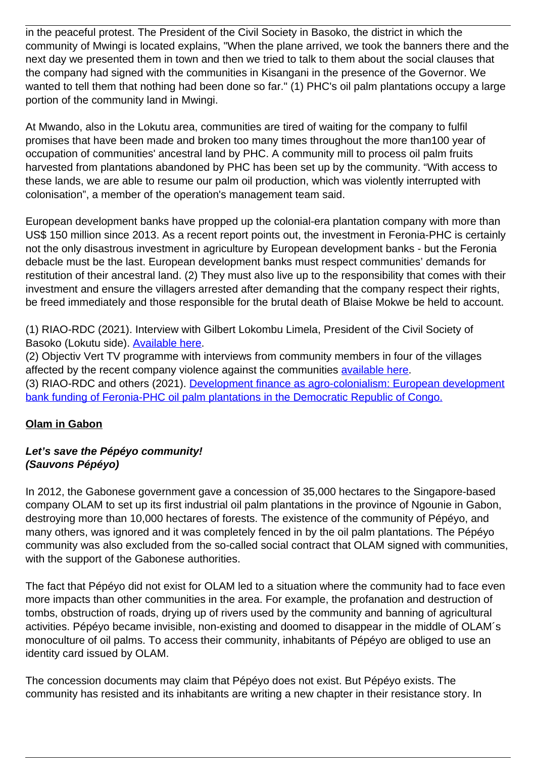in the peaceful protest. The President of the Civil Society in Basoko, the district in which the community of Mwingi is located explains, "When the plane arrived, we took the banners there and the next day we presented them in town and then we tried to talk to them about the social clauses that the company had signed with the communities in Kisangani in the presence of the Governor. We wanted to tell them that nothing had been done so far." (1) PHC's oil palm plantations occupy a large portion of the community land in Mwingi.

At Mwando, also in the Lokutu area, communities are tired of waiting for the company to fulfil promises that have been made and broken too many times throughout the more than100 year of occupation of communities' ancestral land by PHC. A community mill to process oil palm fruits harvested from plantations abandoned by PHC has been set up by the community. "With access to these lands, we are able to resume our palm oil production, which was violently interrupted with colonisation", a member of the operation's management team said.

European development banks have propped up the colonial-era plantation company with more than US\$ 150 million since 2013. As a recent report points out, the investment in Feronia-PHC is certainly not the only disastrous investment in agriculture by European development banks - but the Feronia debacle must be the last. European development banks must respect communities' demands for restitution of their ancestral land. (2) They must also live up to the responsibility that comes with their investment and ensure the villagers arrested after demanding that the company respect their rights, be freed immediately and those responsible for the brutal death of Blaise Mokwe be held to account.

(1) RIAO-RDC (2021). Interview with Gilbert Lokombu Limela, President of the Civil Society of Basoko (Lokutu side). [Available here.](https://wrm.us9.list-manage.com/track/click?u=f91b651f7fecdf835b57dc11d&id=3c65a9cee9&e=08ad7e6520)

(2) Objectiv Vert TV programme with interviews from community members in four of the villages affected by the recent company violence against the communities [available here.](https://wrm.us9.list-manage.com/track/click?u=f91b651f7fecdf835b57dc11d&id=07291fdc88&e=08ad7e6520) (3) RIAO-RDC and others (2021). [Development finance as agro-colonialism: European development](https://wrm.us9.list-manage.com/track/click?u=f91b651f7fecdf835b57dc11d&id=1020635ca7&e=08ad7e6520) [bank funding of Feronia-PHC oil palm plantations in the Democratic Republic of Congo.](https://wrm.us9.list-manage.com/track/click?u=f91b651f7fecdf835b57dc11d&id=1020635ca7&e=08ad7e6520)

### **Olam in Gabon**

### **Let's save the Pépéyo community! (Sauvons Pépéyo)**

In 2012, the Gabonese government gave a concession of 35,000 hectares to the Singapore-based company OLAM to set up its first industrial oil palm plantations in the province of Ngounie in Gabon, destroying more than 10,000 hectares of forests. The existence of the community of Pépéyo, and many others, was ignored and it was completely fenced in by the oil palm plantations. The Pépéyo community was also excluded from the so-called social contract that OLAM signed with communities, with the support of the Gabonese authorities.

The fact that Pépéyo did not exist for OLAM led to a situation where the community had to face even more impacts than other communities in the area. For example, the profanation and destruction of tombs, obstruction of roads, drying up of rivers used by the community and banning of agricultural activities. Pépéyo became invisible, non-existing and doomed to disappear in the middle of OLAM´s monoculture of oil palms. To access their community, inhabitants of Pépéyo are obliged to use an identity card issued by OLAM.

The concession documents may claim that Pépéyo does not exist. But Pépéyo exists. The community has resisted and its inhabitants are writing a new chapter in their resistance story. In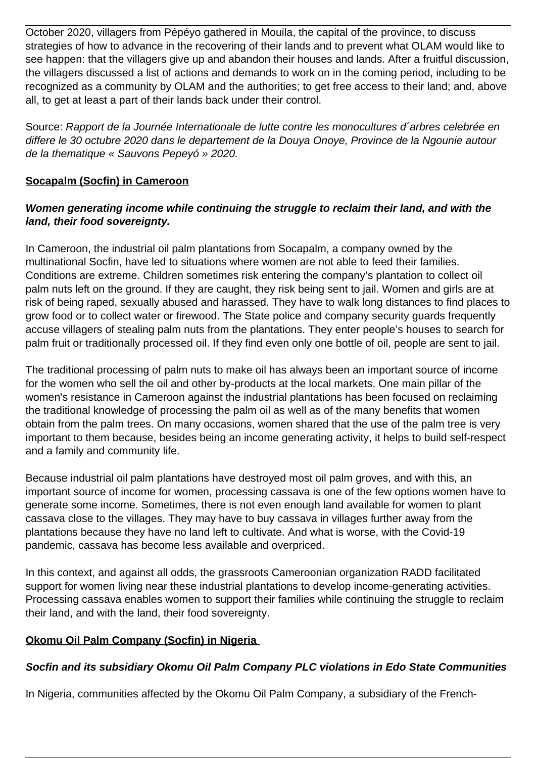October 2020, villagers from Pépéyo gathered in Mouila, the capital of the province, to discuss strategies of how to advance in the recovering of their lands and to prevent what OLAM would like to see happen: that the villagers give up and abandon their houses and lands. After a fruitful discussion, the villagers discussed a list of actions and demands to work on in the coming period, including to be recognized as a community by OLAM and the authorities; to get free access to their land; and, above all, to get at least a part of their lands back under their control.

Source: Rapport de la Journée Internationale de lutte contre les monocultures d´arbres celebrée en differe le 30 octubre 2020 dans le departement de la Douya Onoye, Province de la Ngounie autour de la thematique « Sauvons Pepeyó » 2020.

### **Socapalm (Socfin) in Cameroon**

### **Women generating income while continuing the struggle to reclaim their land, and with the land, their food sovereignty.**

In Cameroon, the industrial oil palm plantations from Socapalm, a company owned by the multinational Socfin, have led to situations where women are not able to feed their families. Conditions are extreme. Children sometimes risk entering the company's plantation to collect oil palm nuts left on the ground. If they are caught, they risk being sent to jail. Women and girls are at risk of being raped, sexually abused and harassed. They have to walk long distances to find places to grow food or to collect water or firewood. The State police and company security guards frequently accuse villagers of stealing palm nuts from the plantations. They enter people's houses to search for palm fruit or traditionally processed oil. If they find even only one bottle of oil, people are sent to jail.

The traditional processing of palm nuts to make oil has always been an important source of income for the women who sell the oil and other by-products at the local markets. One main pillar of the women's resistance in Cameroon against the industrial plantations has been focused on reclaiming the traditional knowledge of processing the palm oil as well as of the many benefits that women obtain from the palm trees. On many occasions, women shared that the use of the palm tree is very important to them because, besides being an income generating activity, it helps to build self-respect and a family and community life.

Because industrial oil palm plantations have destroyed most oil palm groves, and with this, an important source of income for women, processing cassava is one of the few options women have to generate some income. Sometimes, there is not even enough land available for women to plant cassava close to the villages. They may have to buy cassava in villages further away from the plantations because they have no land left to cultivate. And what is worse, with the Covid-19 pandemic, cassava has become less available and overpriced.

In this context, and against all odds, the grassroots Cameroonian organization RADD facilitated support for women living near these industrial plantations to develop income-generating activities. Processing cassava enables women to support their families while continuing the struggle to reclaim their land, and with the land, their food sovereignty.

### **Okomu Oil Palm Company (Socfin) in Nigeria**

## **Socfin and its subsidiary Okomu Oil Palm Company PLC violations in Edo State Communities**

In Nigeria, communities affected by the Okomu Oil Palm Company, a subsidiary of the French-